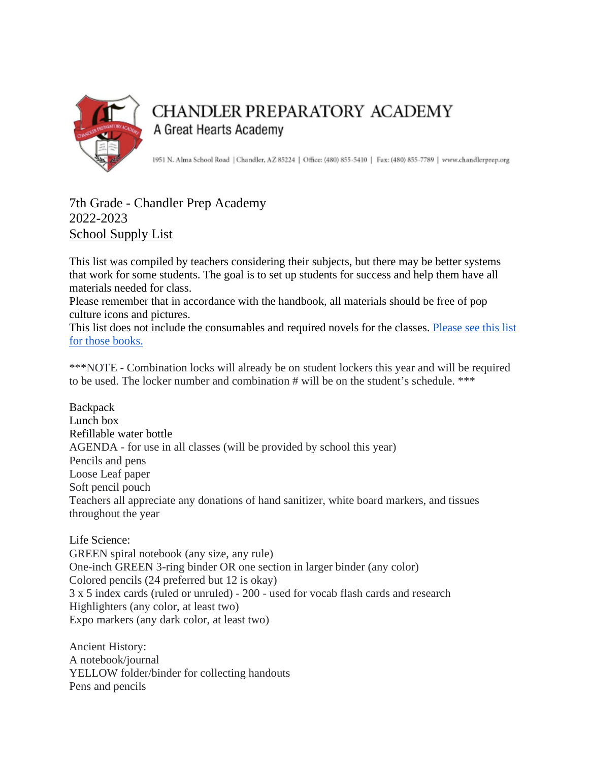

## CHANDLER PREPARATORY ACADEMY A Great Hearts Academy

1951 N. Alma School Road | Chandler, AZ 85224 | Office: (480) 855-5410 | Fax: (480) 855-7789 | www.chandlerprep.org

## 7th Grade - Chandler Prep Academy 2022-2023 School Supply List

This list was compiled by teachers considering their subjects, but there may be better systems that work for some students. The goal is to set up students for success and help them have all materials needed for class.

Please remember that in accordance with the handbook, all materials should be free of pop culture icons and pictures.

This list does not include the consumables and required novels for the classes. Please see this list [for those books.](https://chandlerprep.greatheartsamerica.org/academics/booksupply-lists/)

\*\*\*NOTE - Combination locks will already be on student lockers this year and will be required to be used. The locker number and combination # will be on the student's schedule. \*\*\*

**Backpack** Lunch box Refillable water bottle AGENDA - for use in all classes (will be provided by school this year) Pencils and pens Loose Leaf paper Soft pencil pouch Teachers all appreciate any donations of hand sanitizer, white board markers, and tissues throughout the year

Life Science: GREEN spiral notebook (any size, any rule) One-inch GREEN 3-ring binder OR one section in larger binder (any color) Colored pencils (24 preferred but 12 is okay) 3 x 5 index cards (ruled or unruled) - 200 - used for vocab flash cards and research Highlighters (any color, at least two) Expo markers (any dark color, at least two)

Ancient History: A notebook/journal YELLOW folder/binder for collecting handouts Pens and pencils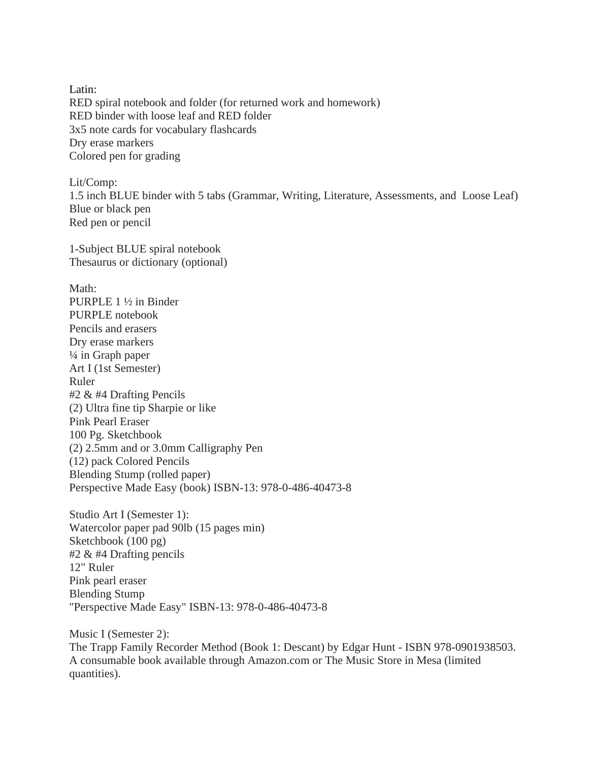Latin: RED spiral notebook and folder (for returned work and homework) RED binder with loose leaf and RED folder 3x5 note cards for vocabulary flashcards Dry erase markers Colored pen for grading

Lit/Comp: 1.5 inch BLUE binder with 5 tabs (Grammar, Writing, Literature, Assessments, and Loose Leaf) Blue or black pen Red pen or pencil

1-Subject BLUE spiral notebook Thesaurus or dictionary (optional)

Math: PURPLE 1 ½ in Binder PURPLE notebook Pencils and erasers Dry erase markers ¼ in Graph paper Art I (1st Semester) Ruler #2 & #4 Drafting Pencils (2) Ultra fine tip Sharpie or like Pink Pearl Eraser 100 Pg. Sketchbook (2) 2.5mm and or 3.0mm Calligraphy Pen (12) pack Colored Pencils Blending Stump (rolled paper) Perspective Made Easy (book) ISBN-13: 978-0-486-40473-8

Studio Art I (Semester 1): Watercolor paper pad 90lb (15 pages min) Sketchbook (100 pg) #2 & #4 Drafting pencils 12" Ruler Pink pearl eraser Blending Stump "Perspective Made Easy" ISBN-13: 978-0-486-40473-8

Music I (Semester 2): The Trapp Family Recorder Method (Book 1: Descant) by Edgar Hunt - ISBN 978-0901938503. A consumable book available through Amazon.com or The Music Store in Mesa (limited quantities).